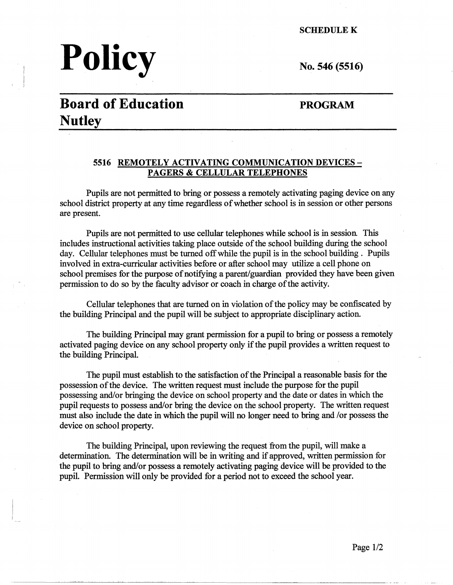**SCHEDULEK** 

# **Policy**

No. 546 (5516)

## **Board of Education Nutley**

#### **PROGRAM**

#### **5516 REMOTELY ACTIVATING COMMUNICATION DEVICES-PAGERS** & **CELLULAR TELEPHONES**

Pupils are not permitted to bring or possess a remotely activating paging device on any school district property at any time regardless of whether school is in session or other persons are present.

Pupils are not permitted to use cellular telephones while school is in session This includes instructional activities taking place outside of the school building during the school day. Cellular telephones must be turned off while the pupil is in the school building . Pupils involved in extra-curricular activities before or after school may utilize a cell phone on school premises for the purpose of notifying a parent/guardian provided they have been given permission to do so by the faculty advisor or coach in charge of the activity.

Cellular telephones that are turned on in violation of the policy may be confiscated by the building Principal and the pupil will be subject to appropriate disciplinary action.

The building Principal may grant permission for a pupil to bring or possess a remotely activated paging device on any school property only if the pupil provides a written request to the building Principal.

The pupil must establish to the satisfaction of the Principal a reasonable basis for the possession of the device. The written request must include the purpose for the pupil possessing and/or bringing the device on school property and the date or dates in which the pupil requests to possess and/or bring the device on the school property. The written request must also include the date in which the pupil will no longer need to bring and /or possess the device on school property.

The building Principal, upon reviewing the request from the pupil, will make a determination. The determination will be in writing and if approved, written permission for the pupil to bring and/or possess a remotely activating paging device will be provided to the pupil. Permission will only be provided for a period not to exceed the school year.